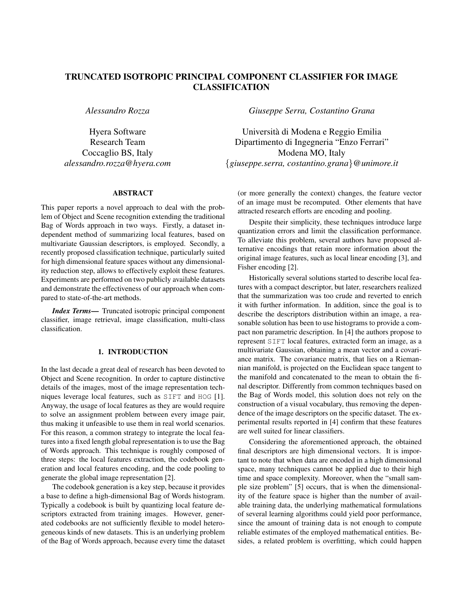# TRUNCATED ISOTROPIC PRINCIPAL COMPONENT CLASSIFIER FOR IMAGE CLASSIFICATION

*Alessandro Rozza*

Hyera Software Research Team Coccaglio BS, Italy *alessandro.rozza@hyera.com*

## ABSTRACT

This paper reports a novel approach to deal with the problem of Object and Scene recognition extending the traditional Bag of Words approach in two ways. Firstly, a dataset independent method of summarizing local features, based on multivariate Gaussian descriptors, is employed. Secondly, a recently proposed classification technique, particularly suited for high dimensional feature spaces without any dimensionality reduction step, allows to effectively exploit these features. Experiments are performed on two publicly available datasets and demonstrate the effectiveness of our approach when compared to state-of-the-art methods.

*Index Terms*— Truncated isotropic principal component classifier, image retrieval, image classification, multi-class classification.

### 1. INTRODUCTION

In the last decade a great deal of research has been devoted to Object and Scene recognition. In order to capture distinctive details of the images, most of the image representation techniques leverage local features, such as SIFT and HOG [1]. Anyway, the usage of local features as they are would require to solve an assignment problem between every image pair, thus making it unfeasible to use them in real world scenarios. For this reason, a common strategy to integrate the local features into a fixed length global representation is to use the Bag of Words approach. This technique is roughly composed of three steps: the local features extraction, the codebook generation and local features encoding, and the code pooling to generate the global image representation [2].

The codebook generation is a key step, because it provides a base to define a high-dimensional Bag of Words histogram. Typically a codebook is built by quantizing local feature descriptors extracted from training images. However, generated codebooks are not sufficiently flexible to model heterogeneous kinds of new datasets. This is an underlying problem of the Bag of Words approach, because every time the dataset

*Giuseppe Serra, Costantino Grana*

Universita di Modena e Reggio Emilia ` Dipartimento di Ingegneria "Enzo Ferrari" Modena MO, Italy {*giuseppe.serra, costantino.grana*}*@unimore.it*

(or more generally the context) changes, the feature vector of an image must be recomputed. Other elements that have attracted research efforts are encoding and pooling.

Despite their simplicity, these techniques introduce large quantization errors and limit the classification performance. To alleviate this problem, several authors have proposed alternative encodings that retain more information about the original image features, such as local linear encoding [3], and Fisher encoding [2].

Historically several solutions started to describe local features with a compact descriptor, but later, researchers realized that the summarization was too crude and reverted to enrich it with further information. In addition, since the goal is to describe the descriptors distribution within an image, a reasonable solution has been to use histograms to provide a compact non parametric description. In [4] the authors propose to represent SIFT local features, extracted form an image, as a multivariate Gaussian, obtaining a mean vector and a covariance matrix. The covariance matrix, that lies on a Riemannian manifold, is projected on the Euclidean space tangent to the manifold and concatenated to the mean to obtain the final descriptor. Differently from common techniques based on the Bag of Words model, this solution does not rely on the construction of a visual vocabulary, thus removing the dependence of the image descriptors on the specific dataset. The experimental results reported in [4] confirm that these features are well suited for linear classifiers.

Considering the aforementioned approach, the obtained final descriptors are high dimensional vectors. It is important to note that when data are encoded in a high dimensional space, many techniques cannot be applied due to their high time and space complexity. Moreover, when the "small sample size problem" [5] occurs, that is when the dimensionality of the feature space is higher than the number of available training data, the underlying mathematical formulations of several learning algorithms could yield poor performance, since the amount of training data is not enough to compute reliable estimates of the employed mathematical entities. Besides, a related problem is overfitting, which could happen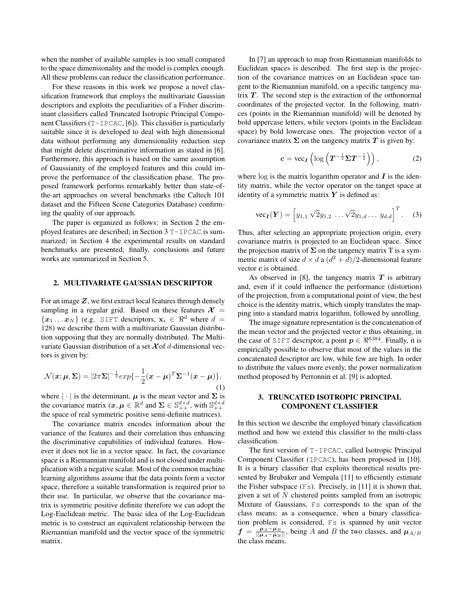when the number of available samples is too small compared to the space dimensionality and the model is complex enough. All these problems can reduce the classification performance.

For these reasons in this work we propose a novel classification framework that employs the multivariate Gaussian descriptors and exploits the peculiarities of a Fisher discriminant classifiers called Truncated Isotropic Principal Component Classifiers (T-IPCAC, [6]). This classifier is particularly suitable since it is developed to deal with high dimensional data without performing any dimensionality reduction step that might delete discriminative information as stated in [6]. Furthermore, this approach is based on the same assumption of Gaussianity of the employed features and this could improve the performance of the classification phase. The proposed framework performs remarkably better than state-ofthe-art approaches on several benchmarks (the Caltech 101 dataset and the Fifteen Scene Categories Database) confirming the quality of our approach.

The paper is organized as follows: in Section 2 the employed features are described; in Section 3 T-IPCAC is summarized; in Section 4 the experimental results on standard benchmarks are presented; finally, conclusions and future works are summarized in Section 5.

### 2. MULTIVARIATE GAUSSIAN DESCRIPTOR

For an image  $Z$ , we first extract local features through densely sampling in a regular grid. Based on these features  $\mathcal{X}$  =  ${x_1 \dots x_N}$  (e.g. SIFT descriptors,  $x_i \in \mathbb{R}^d$  where  $d =$ 128) we describe them with a multivariate Gaussian distribution supposing that they are normally distributed. The Multivariate Gaussian distribution of a set  $\chi$  of d-dimensional vectors is given by:

$$
\mathcal{N}(\boldsymbol{x}; \boldsymbol{\mu}, \boldsymbol{\Sigma}) = |2\pi \boldsymbol{\Sigma}|^{-\frac{1}{2}} exp{-\frac{1}{2}(\boldsymbol{x} - \boldsymbol{\mu})^T \boldsymbol{\Sigma}^{-1}(\boldsymbol{x} - \boldsymbol{\mu})},
$$
\n(1)

where  $|\cdot|$  is the determinant,  $\mu$  is the mean vector and  $\Sigma$  is the covariance matrix  $(x, \mu \in \mathbb{R}^d$  and  $\Sigma \in \mathbb{S}_{++}^{d \times d}$ , with  $\mathbb{S}_{++}^{d \times d}$ the space of real symmetric positive semi-definite matrices).

The covariance matrix encodes information about the variance of the features and their correlation thus enhancing the discriminative capabilities of individual features. However it does not lie in a vector space. In fact, the covariance space is a Riemannian manifold and is not closed under multiplication with a negative scalar. Most of the common machine learning algorithms assume that the data points form a vector space, therefore a suitable transformation is required prior to their use. In particular, we observe that the covariance matrix is symmetric positive definite therefore we can adopt the Log-Euclidean metric. The basic idea of the Log-Euclidean metric is to construct an equivalent relationship between the Riemannian manifold and the vector space of the symmetric matrix.

In [7] an approach to map from Riemannian manifolds to Euclidean spaces is described. The first step is the projection of the covariance matrices on an Euclidean space tangent to the Riemannian manifold, on a specific tangency matrix  $T$ . The second step is the extraction of the orthonormal coordinates of the projected vector. In the following, matrices (points in the Riemannian manifold) will be denoted by bold uppercase letters, while vectors (points in the Euclidean space) by bold lowercase ones. The projection vector of a covariance matrix  $\Sigma$  on the tangency matrix  $T$  is given by:

$$
c = \text{vec}_I \left( \log \left( T^{-\frac{1}{2}} \Sigma T^{-\frac{1}{2}} \right) \right), \tag{2}
$$

where  $\log$  is the matrix logarithm operator and  $\bm{I}$  is the identity matrix, while the vector operator on the tanget space at identity of a symmetric matrix  $Y$  is defined as:

$$
\text{vec}_{I}(\boldsymbol{Y}) = \left[ y_{1,1} \sqrt{2} y_{1,2} \dots \sqrt{2} y_{1,d} \dots y_{d,d} \right]^T. \quad (3)
$$

Thus, after selecting an appropriate projection origin, every covariance matrix is projected to an Euclidean space. Since the projection matrix of  $\Sigma$  on the tangency matrix T is a symmetric matrix of size  $d \times d$  a  $(d^2 + d)/2$ -dimensional feature vector c is obtained.

As observed in [8], the tangency matrix  $T$  is arbitrary and, even if it could influence the performance (distortion) of the projection, from a computational point of view, the best choice is the identity matrix, which simply translates the mapping into a standard matrix logarithm, followed by unrolling.

The image signature representation is the concatenation of the mean vector and the projected vector  $c$  thus obtaining, in the case of SIFT descriptor, a point  $p \in \mathbb{R}^{8384}$ . Finally, it is empirically possible to observe that most of the values in the concatenated descriptor are low, while few are high. In order to distribute the values more evenly, the power normalization method proposed by Perronnin et al. [9] is adopted.

# 3. TRUNCATED ISOTROPIC PRINCIPAL COMPONENT CLASSIFIER

In this section we describe the employed binary classification method and how we extend this classifier to the multi-class classification.

The first version of T-IPCAC, called Isotropic Principal Component Classifier (IPCAC), has been proposed in [10]. It is a binary classifier that exploits theoretical results presented by Brubaker and Vempala [11] to efficiently estimate the Fisher subspace  $(Fs)$ . Precisely, in [11] it is shown that, given a set of  $N$  clustered points sampled from an isotropic Mixture of Gaussians, Fs corresponds to the span of the class means; as a consequence, when a binary classification problem is considered, Fs is spanned by unit vector  $f = \frac{\mu_A - \mu_B}{\|\mu_A - \mu_B\|}$ , being A and B the two classes, and  $\mu_{A/B}$ the class means.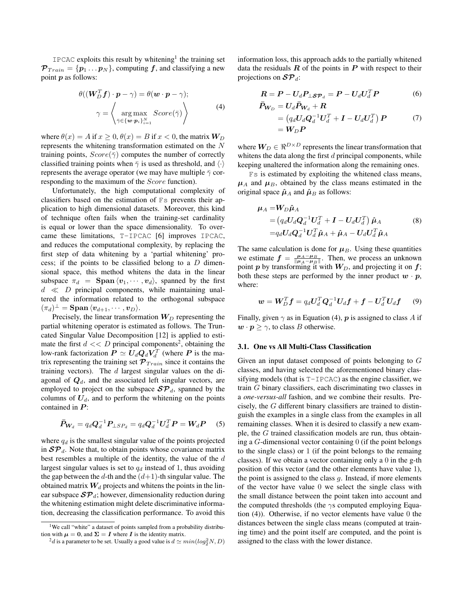$IPCAC$  exploits this result by whitening<sup>1</sup> the training set  $\mathcal{P}_{Train} = \{p_1 \dots p_N\}$ , computing f, and classifying a new point p as follows:

$$
\theta((\mathbf{W}_{D}^{T}\mathbf{f}) \cdot \mathbf{p} - \gamma) = \theta(\mathbf{w} \cdot \mathbf{p} - \gamma);
$$
\n
$$
\gamma = \left\langle \operatorname*{arg\,max}_{\bar{\gamma} \in \{\mathbf{w} \cdot \mathbf{p}_{i}\}_{i=1}^{N}} \text{Score}(\bar{\gamma}) \right\rangle \tag{4}
$$

where  $\theta(x) = A$  if  $x \ge 0$ ,  $\theta(x) = B$  if  $x < 0$ , the matrix  $W_D$ represents the whitening transformation estimated on the N training points,  $Score(\bar{\gamma})$  computes the number of correctly classified training points when  $\bar{\gamma}$  is used as threshold, and  $\langle \cdot \rangle$ represents the average operator (we may have multiple  $\bar{\gamma}$  corresponding to the maximum of the Score function).

Unfortunately, the high computational complexity of classifiers based on the estimation of Fs prevents their application to high dimensional datasets. Moreover, this kind of technique often fails when the training-set cardinality is equal or lower than the space dimensionality. To overcame these limitations, T-IPCAC [6] improves IPCAC, and reduces the computational complexity, by replacing the first step of data whitening by a 'partial whitening' process; if the points to be classified belong to a  $D$  dimensional space, this method whitens the data in the linear subspace  $\pi_d$  = Span  $\langle v_1, \dots, v_d \rangle$ , spanned by the first  $d \ll D$  principal components, while maintaining unaltered the information related to the orthogonal subspace  $(\pi_d)^\perp = \operatorname{\mathbf{Span}}\, \langle \boldsymbol{v}_{d+1}, \cdots, \boldsymbol{v}_{D} \rangle.$ 

Precisely, the linear transformation  $W_D$  representing the partial whitening operator is estimated as follows. The Truncated Singular Value Decomposition [12] is applied to estimate the first  $d \ll D$  principal components<sup>2</sup>, obtaining the low-rank factorization  $P \simeq U_d Q_d V_d^T$  (where  $P$  is the matrix representing the training set  $\mathcal{P}_{Train}$  since it contains the training vectors). The  $d$  largest singular values on the diagonal of  $\mathbf{Q}_d$ , and the associated left singular vectors, are employed to project on the subspace  $\mathcal{SP}_d$ , spanned by the columns of  $U_d$ , and to perform the whitening on the points contained in  $P$ :

$$
\bar{P}_{\mathbf{W}_d} = q_d \mathbf{Q}_d^{-1} \mathbf{P}_{\perp SP_d} = q_d \mathbf{Q}_d^{-1} \mathbf{U}_d^T \mathbf{P} = \mathbf{W}_d \mathbf{P} \tag{5}
$$

where  $q_d$  is the smallest singular value of the points projected in  $\mathcal{SP}_d$ . Note that, to obtain points whose covariance matrix best resembles a multiple of the identity, the value of the d largest singular values is set to  $q_d$  instead of 1, thus avoiding the gap between the  $d$ -th and the  $(d+1)$ -th singular value. The obtained matrix  $W_d$  projects and whitens the points in the linear subspace  $\mathcal{SP}_d$ ; however, dimensionality reduction during the whitening estimation might delete discriminative information, decreasing the classification performance. To avoid this information loss, this approach adds to the partially whitened data the residuals  $R$  of the points in  $P$  with respect to their projections on  $\mathcal{SP}_d$ :

$$
\boldsymbol{R} = \boldsymbol{P} - \boldsymbol{U}_d \boldsymbol{P}_{\perp \boldsymbol{S} \boldsymbol{P}_d} = \boldsymbol{P} - \boldsymbol{U}_d \boldsymbol{U}_d^T \boldsymbol{P} \tag{6}
$$

$$
\begin{aligned} \bar{P}_{\boldsymbol{W}_{D}} &= \boldsymbol{U}_{d} \bar{P}_{\boldsymbol{W}_{d}} + \boldsymbol{R} \\ &= \left( q_{d} \boldsymbol{U}_{d} \boldsymbol{Q}_{d}^{-1} \boldsymbol{U}_{d}^{T} + \boldsymbol{I} - \boldsymbol{U}_{d} \boldsymbol{U}_{d}^{T} \right) \boldsymbol{P} \\ &= \boldsymbol{W}_{D} \boldsymbol{P} \end{aligned} \tag{7}
$$

where  $W_D \in \mathbb{R}^{D \times D}$  represents the linear transformation that whitens the data along the first  $d$  principal components, while keeping unaltered the information along the remaining ones.

Fs is estimated by exploiting the whitened class means,  $\mu_A$  and  $\mu_B$ , obtained by the class means estimated in the original space  $\hat{\mu}_A$  and  $\hat{\mu}_B$  as follows:

$$
\mu_A = W_D \hat{\mu}_A
$$
  
=  $(q_d U_d Q_d^{-1} U_d^T + I - U_d U_d^T) \hat{\mu}_A$   
=  $q_d U_d Q_d^{-1} U_d^T \hat{\mu}_A + \hat{\mu}_A - U_d U_d^T \hat{\mu}_A$  (8)

The same calculation is done for  $\mu_B$ . Using these quantities we estimate  $f = \frac{\mu_A - \mu_B}{\|\mu_A - \mu_B\|}$ . Then, we process an unknown point  $p$  by transforming it with  $W_D$ , and projecting it on  $f$ ; both these steps are performed by the inner product  $w \cdot p$ , where:

$$
\boldsymbol{w} = \boldsymbol{W}_D^T \boldsymbol{f} = q_d \boldsymbol{U}_d^T \boldsymbol{Q}_d^{-1} \boldsymbol{U}_d \boldsymbol{f} + \boldsymbol{f} - \boldsymbol{U}_d^T \boldsymbol{U}_d \boldsymbol{f} \qquad (9)
$$

Finally, given  $\gamma$  as in Equation (4), p is assigned to class A if  $\mathbf{w} \cdot \mathbf{p} \geq \gamma$ , to class *B* otherwise.

### 3.1. One vs All Multi-Class Classification

Given an input dataset composed of points belonging to G classes, and having selected the aforementioned binary classifying models (that is  $T-IPCAC$ ) as the engine classifier, we train G binary classifiers, each discriminating two classes in a *one-versus-all* fashion, and we combine their results. Precisely, the G different binary classifiers are trained to distinguish the examples in a single class from the examples in all remaining classes. When it is desired to classify a new example, the G trained classification models are run, thus obtaining a  $G$ -dimensional vector containing  $\theta$  (if the point belongs to the single class) or 1 (if the point belongs to the remaing classes). If we obtain a vector containing only a 0 in the g-th position of this vector (and the other elements have value 1), the point is assigned to the class  $q$ . Instead, if more elements of the vector have value 0 we select the single class with the small distance between the point taken into account and the computed thresholds (the  $\gamma s$  computed employing Equation (4)). Otherwise, if no vector elements have value 0 the distances between the single class means (computed at training time) and the point itself are computed, and the point is assigned to the class with the lower distance.

<sup>&</sup>lt;sup>1</sup>We call "white" a dataset of points sampled from a probability distribution with  $\mu = 0$ , and  $\Sigma = I$  where I is the identity matrix.

 $^2d$  is a parameter to be set. Usually a good value is  $d \simeq min(log_2^2N, D)$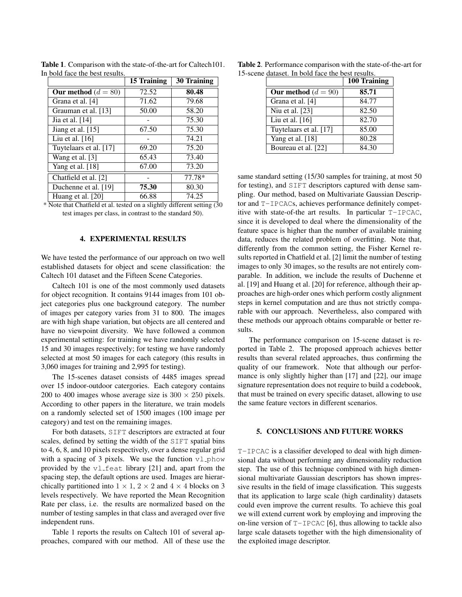|                        | 15 Training | <b>30 Training</b> |
|------------------------|-------------|--------------------|
| Our method $(d = 80)$  | 72.52       | 80.48              |
| Grana et al. [4]       | 71.62       | 79.68              |
| Grauman et al. [13]    | 50.00       | 58.20              |
| Jia et al. [14]        |             | 75.30              |
| Jiang et al. $[15]$    | 67.50       | 75.30              |
| Liu et al. $[16]$      |             | 74.21              |
| Tuytelaars et al. [17] | 69.20       | 75.20              |
| Wang et al. [3]        | 65.43       | 73.40              |
| Yang et al. [18]       | 67.00       | 73.20              |
| Chatfield et al. [2]   |             | 77.78*             |
| Duchenne et al. [19]   | 75.30       | 80.30              |
| Huang et al. [20]      | 66.88       | 74.25              |

Table 1. Comparison with the state-of-the-art for Caltech101. In bold face the best results.

\* Note that Chatfield et al. tested on a slightly different setting (30 test images per class, in contrast to the standard 50).

### 4. EXPERIMENTAL RESULTS

We have tested the performance of our approach on two well established datasets for object and scene classification: the Caltech 101 dataset and the Fifteen Scene Categories.

Caltech 101 is one of the most commonly used datasets for object recognition. It contains 9144 images from 101 object categories plus one background category. The number of images per category varies from 31 to 800. The images are with high shape variation, but objects are all centered and have no viewpoint diversity. We have followed a common experimental setting: for training we have randomly selected 15 and 30 images respectively; for testing we have randomly selected at most 50 images for each category (this results in 3,060 images for training and 2,995 for testing).

The 15-scenes dataset consists of 4485 images spread over 15 indoor-outdoor catergories. Each category contains 200 to 400 images whose average size is  $300 \times 250$  pixels. According to other papers in the literature, we train models on a randomly selected set of 1500 images (100 image per category) and test on the remaining images.

For both datasets, SIFT descriptors are extracted at four scales, defined by setting the width of the SIFT spatial bins to 4, 6, 8, and 10 pixels respectively, over a dense regular grid with a spacing of 3 pixels. We use the function  $v1$ -phow provided by the  $v1$ <sub>-feat</sub> library [21] and, apart from the spacing step, the default options are used. Images are hierarchically partitioned into  $1 \times 1$ ,  $2 \times 2$  and  $4 \times 4$  blocks on 3 levels respectively. We have reported the Mean Recognition Rate per class, i.e. the results are normalized based on the number of testing samples in that class and averaged over five independent runs.

Table 1 reports the results on Caltech 101 of several approaches, compared with our method. All of these use the

|  |  | Table 2. Performance comparison with the state-of-the-art for |  |
|--|--|---------------------------------------------------------------|--|
|  |  | 15-scene dataset. In bold face the best results.              |  |

|                        | 100 Training |
|------------------------|--------------|
| Our method $(d = 90)$  | 85.71        |
| Grana et al. [4]       | 84.77        |
| Niu et al. [23]        | 82.50        |
| Liu et al. $[16]$      | 82.70        |
| Tuytelaars et al. [17] | 85.00        |
| Yang et al. [18]       | 80.28        |
| Boureau et al. [22]    | 84.30        |

same standard setting (15/30 samples for training, at most 50 for testing), and SIFT descriptors captured with dense sampling. Our method, based on Multivariate Gaussian Descriptor and T-IPCACs, achieves performance definitely competitive with state-of-the art results. In particular T-IPCAC, since it is developed to deal where the dimensionality of the feature space is higher than the number of available training data, reduces the related problem of overfitting. Note that, differently from the common setting, the Fisher Kernel results reported in Chatfield et al. [2] limit the number of testing images to only 30 images, so the results are not entirely comparable. In addition, we include the results of Duchenne et al. [19] and Huang et al. [20] for reference, although their approaches are high-order ones which perform costly alignment steps in kernel computation and are thus not strictly comparable with our approach. Nevertheless, also compared with these methods our approach obtains comparable or better results.

The performance comparison on 15-scene dataset is reported in Table 2. The proposed approach achieves better results than several related approaches, thus confirming the quality of our framework. Note that although our performance is only slightly higher than [17] and [22], our image signature representation does not require to build a codebook, that must be trained on every specific dataset, allowing to use the same feature vectors in different scenarios.

### 5. CONCLUSIONS AND FUTURE WORKS

T-IPCAC is a classifier developed to deal with high dimensional data without performing any dimensionality reduction step. The use of this technique combined with high dimensional multivariate Gaussian descriptors has shown impressive results in the field of image classification. This suggests that its application to large scale (high cardinality) datasets could even improve the current results. To achieve this goal we will extend current work by employing and improving the on-line version of  $T$ -IPCAC [6], thus allowing to tackle also large scale datasets together with the high dimensionality of the exploited image descriptor.